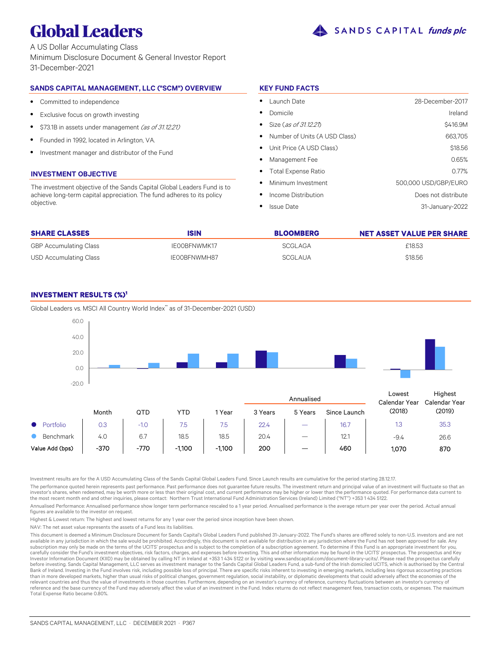

A US Dollar Accumulating Class Minimum Disclosure Document & General Investor Report 31-December-2021

# **SANDS CAPITAL MANAGEMENT, LLC ("SCM") OVERVIEW**

- $\bullet$ Committed to independence
- $\bullet$ Exclusive focus on growth investing
- $\bullet$ \$73.1B in assets under management (as of 31.12.21)
- $\bullet$ Founded in 1992, located in Arlington, VA.
- $\bullet$ Investment manager and distributor of the Fund

# **INVESTMENT OBJECTIVE**

The investment objective of the Sands Capital Global Leaders Fund is to achieve long-term capital appreciation. The fund adheres to its policy objective.

# **KEY FUND FACTS**

| Launch Date                     | 28-December-2017     |
|---------------------------------|----------------------|
| Domicile                        | Ireland              |
| • Size (as of 31.12.21)         | \$416.9M             |
| • Number of Units (A USD Class) | 663.705              |
| • Unit Price (A USD Class)      | \$18.56              |
| Management Fee                  | 0.65%                |
| • Total Expense Ratio           | 0.77%                |
| Minimum Investment              | 500,000 USD/GBP/EURO |
| Income Distribution             | Does not distribute  |
| <b>Issue Date</b>               | 31-January-2022      |

| <b>SHARE CLASSES</b>          | <b>ISIN</b>  | <b>BLOOMBERG</b> | <b>NET ASSET VALUE PER SHARE</b> |
|-------------------------------|--------------|------------------|----------------------------------|
| <b>GBP Accumulating Class</b> | IEOOBFNWMK17 | SCGLAGA          | £18.53                           |
| USD Accumulating Class        | IE00BFNWMH87 | SCGLAUA          | \$18.56                          |

# **INVESTMENT RESULTS (%)<sup>1</sup>**

Annualised Month QTD YTD 1 Year 3 Years 5 Years Since Launch  $\bullet$ Portfolio | 0.3 | -1.0 | 7.5 | 7.5 | 22.4 | - | 16.7  $\bullet$ Benchmark 4.0 6.7 18.5 18.5 20.4 – 12.1 Value Add (bps) | -370 | -770 | -1,100 | -1,100 | 200 | - | 460 Lowest Calendar Year (2018) **Highest** Calendar Year (2019) 1.3 35.3 -9.4 26.6 1,070 870 -20.0  $0<sub>0</sub>$ 20.0 40.0 60.0

Global Leaders vs. MSCI All Country World Index\* as of 31-December-2021 (USD)

Investment results are for the A USD Accumulating Class of the Sands Capital Global Leaders Fund. Since Launch results are cumulative for the period starting 28.12.17.

The performance quoted herein represents past performance. Past performance does not guarantee future results. The investment return and principal value of an investment will fluctuate so that an investor's shares, when redeemed, may be worth more or less than their original cost, and current performance may be higher or lower than the performance quoted. For performance data current to<br>the most recent month end an

Annualised Performance: Annualised performance show longer term performance rescaled to a 1 year period. Annualised performance is the average return per year over the period. Actual annual figures are available to the investor on request.

Highest & Lowest return: The highest and lowest returns for any 1 year over the period since inception have been shown.

NAV: The net asset value represents the assets of a Fund less its liabilities.

This document is deemed a Minimum Disclosure Document for Sands Capital's Global Leaders Fund published 31-January-2022. The Fund's shares are offered solely to non-U.S. investors and are not available in any jurisdiction in which the sale would be prohibited. Accordingly, this document is not available for distribution in any jurisdiction where the Fund has not been approved for sale. Any subscription may only be made on the terms of the UCITS' prospectus and is subject to the completion of a subscription agreement. To determine if this Fund is an appropriate investment for you carefully consider the Fund's investment objectives, risk factors, charges, and expenses before investing. This and other information may be found in the UCITS' prospectus. The prospectus and Key<br>Investor Information Docum before investing. Sands Capital Management, LLC serves as investment manager to the Sands Capital Global Leaders Fund, a sub-fund of the Irish domiciled UCITS, which is authorised by the Central Bank of Ireland. Investing in the Fund involves risk, including possible loss of principal. There are specific risks inherent to investing in emerging markets, including less rigorous accounting practices<br>than in more deve relevant countries and thus the value of investments in those countries. Furthermore, depending on an investor's currency of reference, currency fluctuations between an investor's currency of reference and the base currency of the Fund may adversely affect the value of an investment in the Fund. Index returns do not reflect management fees, transaction costs, or expenses. The maximum Total Expense Ratio became 0.80%.